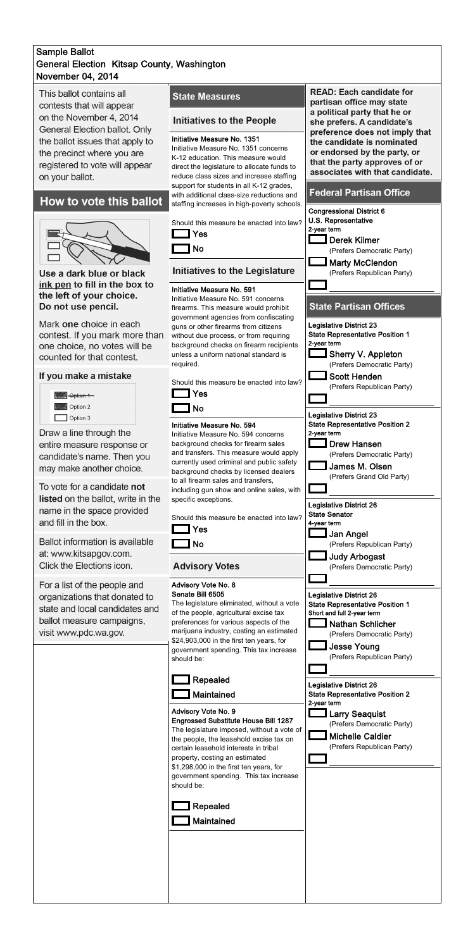## November 04, 2014 Sample Ballot General Election Kitsap County, Washington

This ballot contains all contests that will appear on the November 4, 2014 General Election ballot. Only the ballot issues that apply to the precinct where you are registered to vote will appear on your ballot.

# How to vote this ballot



Use a dark blue or black ink pen to fill in the box to the left of your choice. Do not use pencil.

Mark one choice in each contest. If you mark more than one choice, no votes will be counted for that contest.

### If you make a mistake

| Option 1 |  |
|----------|--|
| Option 2 |  |
| Option 3 |  |

Draw a line through the entire measure response or candidate's name. Then you may make another choice.

To vote for a candidate not listed on the ballot, write in the name in the space provided and fill in the box.

**Ballot information is available** at: www.kitsapgov.com. Click the Elections icon.

For a list of the people and organizations that donated to state and local candidates and ballot measure campaigns. visit www.pdc.wa.gov.

### **State Measures**

### **Initiatives to the People**

### Initiative Measure No. 1351

Initiative Measure No. 1351 concerns K-12 education. This measure would direct the legislature to allocate funds to reduce class sizes and increase staffing support for students in all K-12 grades, with additional class-size reductions and staffing increases in high-poverty schools.



Initiative Measure No. 591 concerns required.





**READ: Each candidate for** partisan office may state a political party that he or she prefers. A candidate's preference does not imply that the candidate is nominated or endorsed by the party, or that the party approves of or associates with that candidate.

### **Federal Partisan Office**